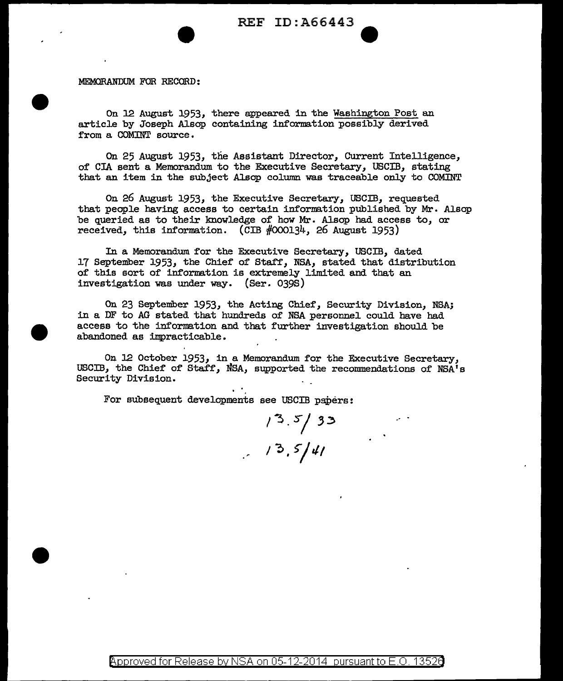MEMORANDUM FOR RECORD:

On 12 August 1953, there appeared in the Washington Post an article by Joseph Alsop containing information possibly derived from a COMINT source.

On 25 August 1953, the Assistant Director, Current Intelligence, of CIA sent a Memorandum to the Executive Secretary, USCIB, stating that an item in the subject Alsop column was traceable only to COMINT

On 26 August 1953, the Executive Secretary, USCIB, requested that people having access to certain information published by Mr. Alsop be queried as to their knowledge of how Mr. Alsop had access to, or received, this information. (CIB  $#000134$ , 26 August 1953)

In a Memorandum for the Executive Secretary, USCIB, dated 17 September 1953, the Chief of Staff, NSA, stated that distribution of this sort of information is extremely limited and that an investigation was under way. (Ser. 039s)

On 23 September 1953, the Acting Chief, Security Division, NSA; in a DF to AG stated that hundreds of NSA personnel could have had access to the information and that further investigation should be abandoned as impracticable.

On J2 October 1953, in a Memorandum for the Executive Secretary, USCIB, the Chief of Staff, NSA, supported the recommendations of NSA's Security Division.

For subsequent developments see USCIB papers:

 $1^3.5/33$ <br> $1^3.5/41$